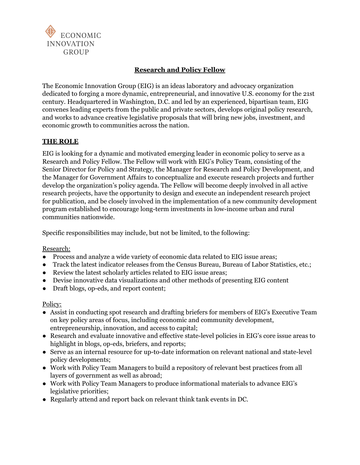

# **Research and Policy Fellow**

The Economic Innovation Group (EIG) is an ideas laboratory and advocacy organization dedicated to forging a more dynamic, entrepreneurial, and innovative U.S. economy for the 21st century. Headquartered in Washington, D.C. and led by an experienced, bipartisan team, EIG convenes leading experts from the public and private sectors, develops original policy research, and works to advance creative legislative proposals that will bring new jobs, investment, and economic growth to communities across the nation.

### **THE ROLE**

EIG is looking for a dynamic and motivated emerging leader in economic policy to serve as a Research and Policy Fellow. The Fellow will work with EIG's Policy Team, consisting of the Senior Director for Policy and Strategy, the Manager for Research and Policy Development, and the Manager for Government Affairs to conceptualize and execute research projects and further develop the organization's policy agenda. The Fellow will become deeply involved in all active research projects, have the opportunity to design and execute an independent research project for publication, and be closely involved in the implementation of a new community development program established to encourage long-term investments in low-income urban and rural communities nationwide.

Specific responsibilities may include, but not be limited, to the following:

### Research:

- Process and analyze a wide variety of economic data related to EIG issue areas;
- Track the latest indicator releases from the Census Bureau, Bureau of Labor Statistics, etc.;
- Review the latest scholarly articles related to EIG issue areas;
- Devise innovative data visualizations and other methods of presenting EIG content
- Draft blogs, op-eds, and report content;

### Policy:

- Assist in conducting spot research and drafting briefers for members of EIG's Executive Team on key policy areas of focus, including economic and community development, entrepreneurship, innovation, and access to capital;
- Research and evaluate innovative and effective state-level policies in EIG's core issue areas to highlight in blogs, op-eds, briefers, and reports;
- Serve as an internal resource for up-to-date information on relevant national and state-level policy developments;
- Work with Policy Team Managers to build a repository of relevant best practices from all layers of government as well as abroad;
- Work with Policy Team Managers to produce informational materials to advance EIG's legislative priorities;
- Regularly attend and report back on relevant think tank events in DC.